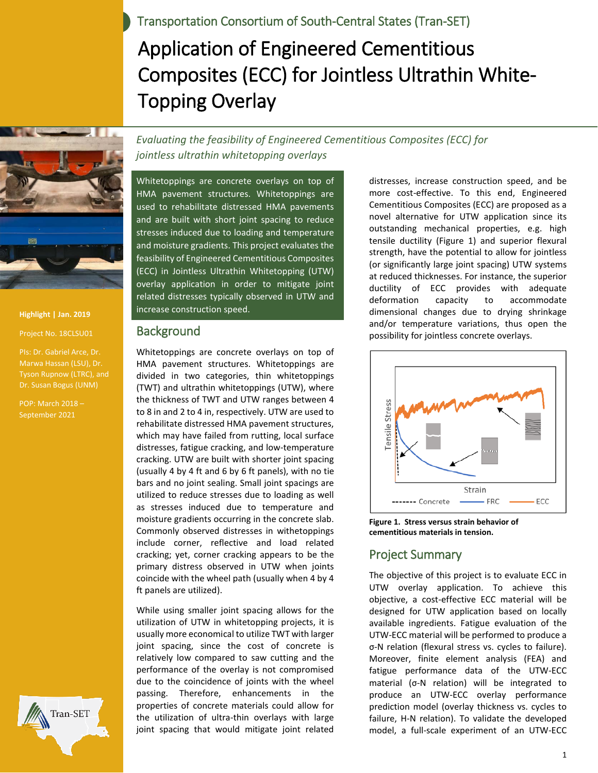Transportation Consortium of South-Central States (Tran-SET)

# Application of Engineered Cementitious Composites (ECC) for Jointless Ultrathin White-Topping Overlay



**Highlight | Jan. 2019**

Project No. 18CLSU01

PIs: Dr. Gabriel Arce, Dr. Marwa Hassan (LSU), Dr. Dr. Susan Bogus (UNM)

POP: March 2018 – September 2021



Whitetoppings are concrete overlays on top of HMA pavement structures. Whitetoppings are used to rehabilitate distressed HMA pavements and are built with short joint spacing to reduce stresses induced due to loading and temperature and moisture gradients. This project evaluates the feasibility of Engineered Cementitious Composites (ECC) in Jointless Ultrathin Whitetopping (UTW) overlay application in order to mitigate joint related distresses typically observed in UTW and increase construction speed.

#### Background

Whitetoppings are concrete overlays on top of HMA pavement structures. Whitetoppings are divided in two categories, thin whitetoppings (TWT) and ultrathin whitetoppings (UTW), where the thickness of TWT and UTW ranges between 4 to 8 in and 2 to 4 in, respectively. UTW are used to rehabilitate distressed HMA pavement structures, which may have failed from rutting, local surface distresses, fatigue cracking, and low-temperature cracking. UTW are built with shorter joint spacing (usually 4 by 4 ft and 6 by 6 ft panels), with no tie bars and no joint sealing. Small joint spacings are utilized to reduce stresses due to loading as well as stresses induced due to temperature and moisture gradients occurring in the concrete slab. Commonly observed distresses in withetoppings include corner, reflective and load related cracking; yet, corner cracking appears to be the primary distress observed in UTW when joints coincide with the wheel path (usually when 4 by 4 ft panels are utilized).

While using smaller joint spacing allows for the utilization of UTW in whitetopping projects, it is usually more economical to utilize TWT with larger joint spacing, since the cost of concrete is relatively low compared to saw cutting and the performance of the overlay is not compromised due to the coincidence of joints with the wheel passing. Therefore, enhancements in the properties of concrete materials could allow for the utilization of ultra-thin overlays with large joint spacing that would mitigate joint related

distresses, increase construction speed, and be more cost-effective. To this end, Engineered Cementitious Composites (ECC) are proposed as a novel alternative for UTW application since its outstanding mechanical properties, e.g. high tensile ductility (Figure 1) and superior flexural strength, have the potential to allow for jointless (or significantly large joint spacing) UTW systems at reduced thicknesses. For instance, the superior ductility of ECC provides with adequate deformation capacity to accommodate dimensional changes due to drying shrinkage and/or temperature variations, thus open the possibility for jointless concrete overlays.



**Figure 1. Stress versus strain behavior of cementitious materials in tension.**

# Project Summary

The objective of this project is to evaluate ECC in UTW overlay application. To achieve this objective, a cost-effective ECC material will be designed for UTW application based on locally available ingredients. Fatigue evaluation of the UTW-ECC material will be performed to produce a σ-N relation (flexural stress vs. cycles to failure). Moreover, finite element analysis (FEA) and fatigue performance data of the UTW-ECC material (σ-N relation) will be integrated to produce an UTW-ECC overlay performance prediction model (overlay thickness vs. cycles to failure, H-N relation). To validate the developed model, a full-scale experiment of an UTW-ECC